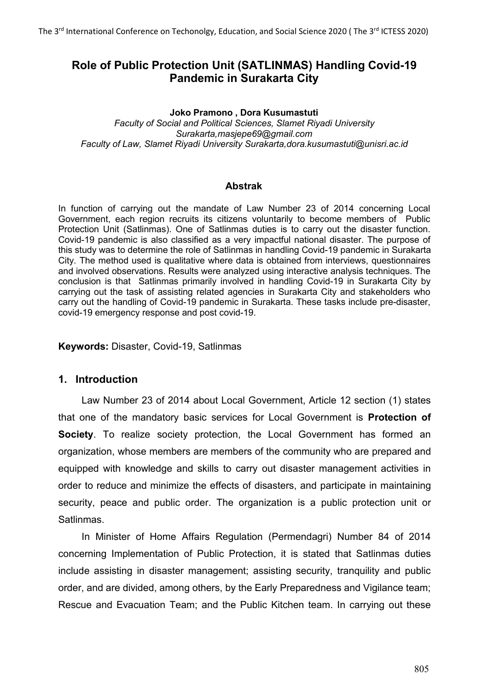# **Role of Public Protection Unit (SATLINMAS) Handling Covid-19 Pandemic in Surakarta City**

#### **Joko Pramono , Dora Kusumastuti**

*Faculty of Social and Political Sciences, Slamet Riyadi University Surakarta,masjepe69@gmail.com Faculty of Law, Slamet Riyadi University Surakarta,dora.kusumastuti@unisri.ac.id*

#### **Abstrak**

In function of carrying out the mandate of Law Number 23 of 2014 concerning Local Government, each region recruits its citizens voluntarily to become members of Public Protection Unit (Satlinmas). One of Satlinmas duties is to carry out the disaster function. Covid-19 pandemic is also classified as a very impactful national disaster. The purpose of this study was to determine the role of Satlinmas in handling Covid-19 pandemic in Surakarta City. The method used is qualitative where data is obtained from interviews, questionnaires and involved observations. Results were analyzed using interactive analysis techniques. The conclusion is that Satlinmas primarily involved in handling Covid-19 in Surakarta City by carrying out the task of assisting related agencies in Surakarta City and stakeholders who carry out the handling of Covid-19 pandemic in Surakarta. These tasks include pre-disaster, covid-19 emergency response and post covid-19.

**Keywords:** Disaster, Covid-19, Satlinmas

## **1. Introduction**

Law Number 23 of 2014 about Local Government, Article 12 section (1) states that one of the mandatory basic services for Local Government is **Protection of Society**. To realize society protection, the Local Government has formed an organization, whose members are members of the community who are prepared and equipped with knowledge and skills to carry out disaster management activities in order to reduce and minimize the effects of disasters, and participate in maintaining security, peace and public order. The organization is a public protection unit or Satlinmas.

In Minister of Home Affairs Regulation (Permendagri) Number 84 of 2014 concerning Implementation of Public Protection, it is stated that Satlinmas duties include assisting in disaster management; assisting security, tranquility and public order, and are divided, among others, by the Early Preparedness and Vigilance team; Rescue and Evacuation Team; and the Public Kitchen team. In carrying out these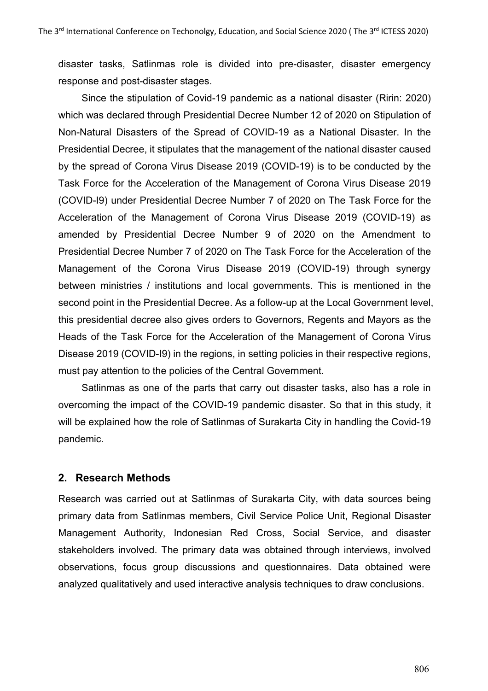disaster tasks, Satlinmas role is divided into pre-disaster, disaster emergency response and post-disaster stages.

Since the stipulation of Covid-19 pandemic as a national disaster (Ririn: 2020) which was declared through Presidential Decree Number 12 of 2020 on Stipulation of Non-Natural Disasters of the Spread of COVID-19 as a National Disaster. In the Presidential Decree, it stipulates that the management of the national disaster caused by the spread of Corona Virus Disease 2019 (COVID-19) is to be conducted by the Task Force for the Acceleration of the Management of Corona Virus Disease 2019 (COVID-I9) under Presidential Decree Number 7 of 2020 on The Task Force for the Acceleration of the Management of Corona Virus Disease 2019 (COVID-19) as amended by Presidential Decree Number 9 of 2020 on the Amendment to Presidential Decree Number 7 of 2020 on The Task Force for the Acceleration of the Management of the Corona Virus Disease 2019 (COVID-19) through synergy between ministries / institutions and local governments. This is mentioned in the second point in the Presidential Decree. As a follow-up at the Local Government level, this presidential decree also gives orders to Governors, Regents and Mayors as the Heads of the Task Force for the Acceleration of the Management of Corona Virus Disease 2019 (COVID-I9) in the regions, in setting policies in their respective regions, must pay attention to the policies of the Central Government.

Satlinmas as one of the parts that carry out disaster tasks, also has a role in overcoming the impact of the COVID-19 pandemic disaster. So that in this study, it will be explained how the role of Satlinmas of Surakarta City in handling the Covid-19 pandemic.

## **2. Research Methods**

Research was carried out at Satlinmas of Surakarta City, with data sources being primary data from Satlinmas members, Civil Service Police Unit, Regional Disaster Management Authority, Indonesian Red Cross, Social Service, and disaster stakeholders involved. The primary data was obtained through interviews, involved observations, focus group discussions and questionnaires. Data obtained were analyzed qualitatively and used interactive analysis techniques to draw conclusions.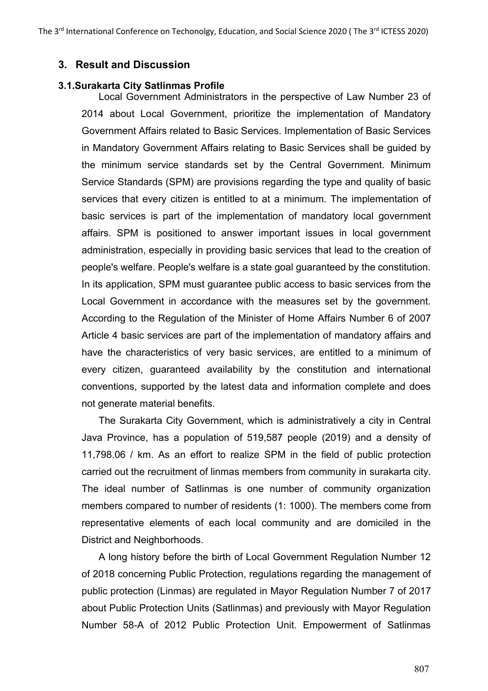### **3. Result and Discussion**

#### **3.1.Surakarta City Satlinmas Profile**

Local Government Administrators in the perspective of Law Number 23 of 2014 about Local Government, prioritize the implementation of Mandatory Government Affairs related to Basic Services. Implementation of Basic Services in Mandatory Government Affairs relating to Basic Services shall be guided by the minimum service standards set by the Central Government. Minimum Service Standards (SPM) are provisions regarding the type and quality of basic services that every citizen is entitled to at a minimum. The implementation of basic services is part of the implementation of mandatory local government affairs. SPM is positioned to answer important issues in local government administration, especially in providing basic services that lead to the creation of people's welfare. People's welfare is a state goal guaranteed by the constitution. In its application, SPM must guarantee public access to basic services from the Local Government in accordance with the measures set by the government. According to the Regulation of the Minister of Home Affairs Number 6 of 2007 Article 4 basic services are part of the implementation of mandatory affairs and have the characteristics of very basic services, are entitled to a minimum of every citizen, guaranteed availability by the constitution and international conventions, supported by the latest data and information complete and does not generate material benefits.

The Surakarta City Government, which is administratively a city in Central Java Province, has a population of 519,587 people (2019) and a density of 11,798.06 / km. As an effort to realize SPM in the field of public protection carried out the recruitment of linmas members from community in surakarta city. The ideal number of Satlinmas is one number of community organization members compared to number of residents (1: 1000). The members come from representative elements of each local community and are domiciled in the District and Neighborhoods.

A long history before the birth of Local Government Regulation Number 12 of 2018 concerning Public Protection, regulations regarding the management of public protection (Linmas) are regulated in Mayor Regulation Number 7 of 2017 about Public Protection Units (Satlinmas) and previously with Mayor Regulation Number 58-A of 2012 Public Protection Unit. Empowerment of Satlinmas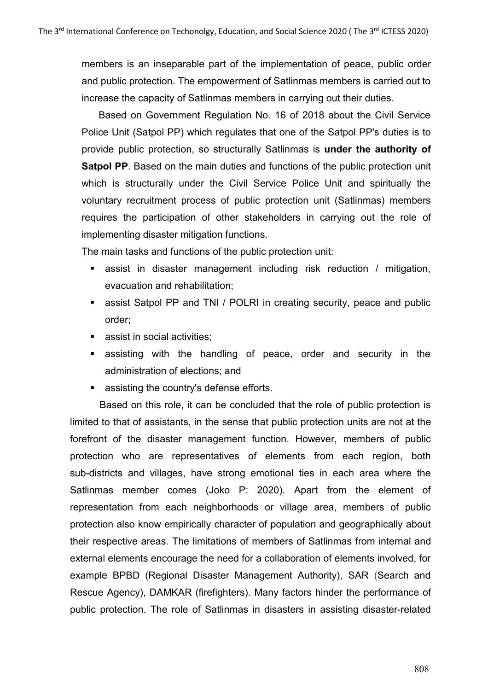members is an inseparable part of the implementation of peace, public order and public protection. The empowerment of Satlinmas members is carried out to increase the capacity of Satlinmas members in carrying out their duties.

Based on Government Regulation No. 16 of 2018 about the Civil Service Police Unit (Satpol PP) which regulates that one of the Satpol PP's duties is to provide public protection, so structurally Satlinmas is **under the authority of Satpol PP**. Based on the main duties and functions of the public protection unit which is structurally under the Civil Service Police Unit and spiritually the voluntary recruitment process of public protection unit (Satlinmas) members requires the participation of other stakeholders in carrying out the role of implementing disaster mitigation functions.

The main tasks and functions of the public protection unit:

- **assist in disaster management including risk reduction / mitigation,** evacuation and rehabilitation;
- **EXECT** assist Satpol PP and TNI / POLRI in creating security, peace and public order;
- **assist in social activities;**
- assisting with the handling of peace, order and security in the administration of elections; and
- **assisting the country's defense efforts.**

Based on this role, it can be concluded that the role of public protection is limited to that of assistants, in the sense that public protection units are not at the forefront of the disaster management function. However, members of public protection who are representatives of elements from each region, both sub-districts and villages, have strong emotional ties in each area where the Satlinmas member comes (Joko P: 2020). Apart from the element of representation from each neighborhoods or village area, members of public protection also know empirically character of population and geographically about their respective areas. The limitations of members of Satlinmas from internal and external elements encourage the need for a collaboration of elements involved, for example BPBD (Regional Disaster Management Authority), SAR (Search and Rescue Agency), DAMKAR (firefighters). Many factors hinder the performance of public protection. The role of Satlinmas in disasters in assisting disaster-related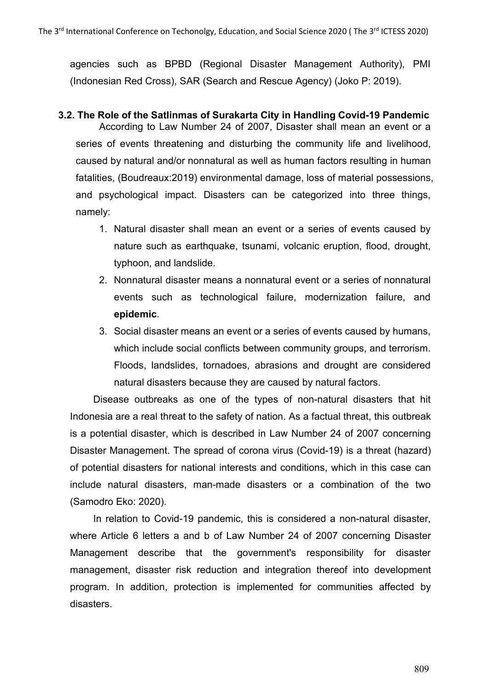agencies such as BPBD (Regional Disaster Management Authority), PMI (Indonesian Red Cross), SAR (Search and Rescue Agency) (Joko P: 2019).

# **3.2. The Role of the Satlinmas of Surakarta City in Handling Covid-19 Pandemic**

According to Law Number 24 of 2007, Disaster shall mean an event or a series of events threatening and disturbing the community life and livelihood, caused by natural and/or nonnatural as well as human factors resulting in human fatalities, (Boudreaux:2019) environmental damage, loss of material possessions, and psychological impact. Disasters can be categorized into three things, namely:

- 1. Natural disaster shall mean an event or a series of events caused by nature such as earthquake, tsunami, volcanic eruption, flood, drought, typhoon, and landslide.
- 2. Nonnatural disaster means a nonnatural event or a series of nonnatural events such as technological failure, modernization failure, and **epidemic**.
- 3. Social disaster means an event or a series of events caused by humans, which include social conflicts between community groups, and terrorism. Floods, landslides, tornadoes, abrasions and drought are considered natural disasters because they are caused by natural factors.

Disease outbreaks as one of the types of non-natural disasters that hit Indonesia are a real threat to the safety of nation. As a factual threat, this outbreak is a potential disaster, which is described in Law Number 24 of 2007 concerning Disaster Management. The spread of corona virus (Covid-19) is a threat (hazard) of potential disasters for national interests and conditions, which in this case can include natural disasters, man-made disasters or a combination of the two (Samodro Eko: 2020).

In relation to Covid-19 pandemic, this is considered a non-natural disaster, where Article 6 letters a and b of Law Number 24 of 2007 concerning Disaster Management describe that the government's responsibility for disaster management, disaster risk reduction and integration thereof into development program. In addition, protection is implemented for communities affected by disasters.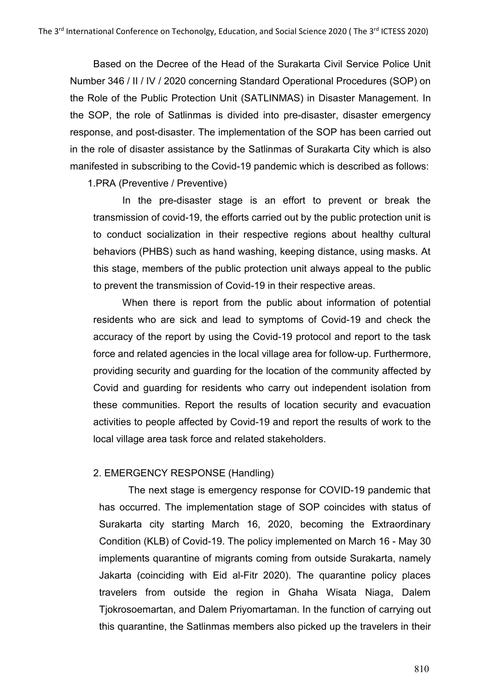Based on the Decree of the Head of the Surakarta Civil Service Police Unit Number 346 / II / IV / 2020 concerning Standard Operational Procedures (SOP) on the Role of the Public Protection Unit (SATLINMAS) in Disaster Management. In the SOP, the role of Satlinmas is divided into pre-disaster, disaster emergency response, and post-disaster. The implementation of the SOP has been carried out in the role of disaster assistance by the Satlinmas of Surakarta City which is also manifested in subscribing to the Covid-19 pandemic which is described as follows:

1.PRA (Preventive / Preventive)

In the pre-disaster stage is an effort to prevent or break the transmission of covid-19, the efforts carried out by the public protection unit is to conduct socialization in their respective regions about healthy cultural behaviors (PHBS) such as hand washing, keeping distance, using masks. At this stage, members of the public protection unit always appeal to the public to prevent the transmission of Covid-19 in their respective areas.

When there is report from the public about information of potential residents who are sick and lead to symptoms of Covid-19 and check the accuracy of the report by using the Covid-19 protocol and report to the task force and related agencies in the local village area for follow-up. Furthermore, providing security and guarding for the location of the community affected by Covid and guarding for residents who carry out independent isolation from these communities. Report the results of location security and evacuation activities to people affected by Covid-19 and report the results of work to the local village area task force and related stakeholders.

#### 2. EMERGENCY RESPONSE (Handling)

The next stage is emergency response for COVID-19 pandemic that has occurred. The implementation stage of SOP coincides with status of Surakarta city starting March 16, 2020, becoming the Extraordinary Condition (KLB) of Covid-19. The policy implemented on March 16 - May 30 implements quarantine of migrants coming from outside Surakarta, namely Jakarta (coinciding with Eid al-Fitr 2020). The quarantine policy places travelers from outside the region in Ghaha Wisata Niaga, Dalem Tjokrosoemartan, and Dalem Priyomartaman. In the function of carrying out this quarantine, the Satlinmas members also picked up the travelers in their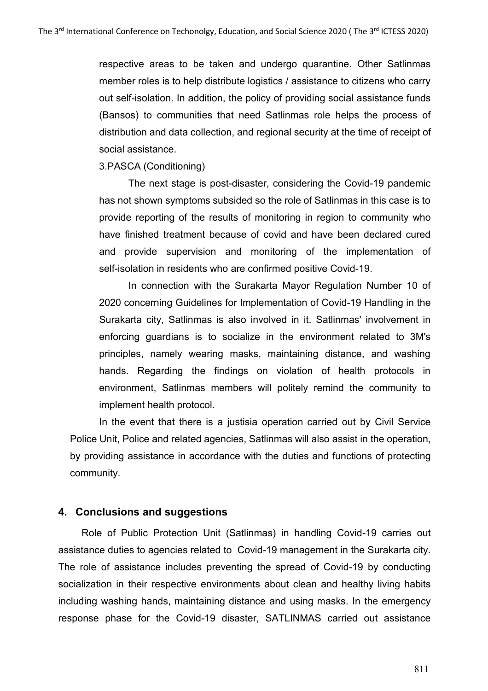respective areas to be taken and undergo quarantine. Other Satlinmas member roles is to help distribute logistics / assistance to citizens who carry out self-isolation. In addition, the policy of providing social assistance funds (Bansos) to communities that need Satlinmas role helps the process of distribution and data collection, and regional security at the time of receipt of social assistance.

3.PASCA (Conditioning)

The next stage is post-disaster, considering the Covid-19 pandemic has not shown symptoms subsided so the role of Satlinmas in this case is to provide reporting of the results of monitoring in region to community who have finished treatment because of covid and have been declared cured and provide supervision and monitoring of the implementation of self-isolation in residents who are confirmed positive Covid-19.

In connection with the Surakarta Mayor Regulation Number 10 of 2020 concerning Guidelines for Implementation of Covid-19 Handling in the Surakarta city, Satlinmas is also involved in it. Satlinmas' involvement in enforcing guardians is to socialize in the environment related to 3M's principles, namely wearing masks, maintaining distance, and washing hands. Regarding the findings on violation of health protocols in environment, Satlinmas members will politely remind the community to implement health protocol.

In the event that there is a justisia operation carried out by Civil Service Police Unit, Police and related agencies, Satlinmas will also assist in the operation, by providing assistance in accordance with the duties and functions of protecting community.

## **4. Conclusions and suggestions**

Role of Public Protection Unit (Satlinmas) in handling Covid-19 carries out assistance duties to agencies related to Covid-19 management in the Surakarta city. The role of assistance includes preventing the spread of Covid-19 by conducting socialization in their respective environments about clean and healthy living habits including washing hands, maintaining distance and using masks. In the emergency response phase for the Covid-19 disaster, SATLINMAS carried out assistance